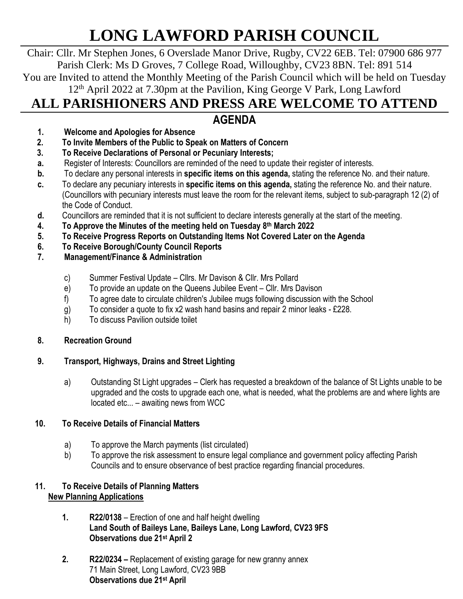# **LONG LAWFORD PARISH COUNCIL**

Chair: Cllr. Mr Stephen Jones, 6 Overslade Manor Drive, Rugby, CV22 6EB. Tel: 07900 686 977 Parish Clerk: Ms D Groves, 7 College Road, Willoughby, CV23 8BN. Tel: 891 514 You are Invited to attend the Monthly Meeting of the Parish Council which will be held on Tuesday 12th April 2022 at 7.30pm at the Pavilion, King George V Park, Long Lawford

# **ALL PARISHIONERS AND PRESS ARE WELCOME TO ATTEND**

# **AGENDA**

- **1. Welcome and Apologies for Absence**
- **2. To Invite Members of the Public to Speak on Matters of Concern**
- **3. To Receive Declarations of Personal or Pecuniary Interests;**
- **a.** Register of Interests: Councillors are reminded of the need to update their register of interests.
- **b.** To declare any personal interests in **specific items on this agenda,** stating the reference No. and their nature.
- **c.** To declare any pecuniary interests in **specific items on this agenda,** stating the reference No. and their nature. (Councillors with pecuniary interests must leave the room for the relevant items, subject to sub-paragraph 12 (2) of the Code of Conduct.
- **d.** Councillors are reminded that it is not sufficient to declare interests generally at the start of the meeting.
- **4. To Approve the Minutes of the meeting held on Tuesday 8 th March 2022**
- **5. To Receive Progress Reports on Outstanding Items Not Covered Later on the Agenda**
- **6. To Receive Borough/County Council Reports**
- **7. Management/Finance & Administration**
	- c) Summer Festival Update Cllrs. Mr Davison & Cllr. Mrs Pollard
	- e) To provide an update on the Queens Jubilee Event Cllr. Mrs Davison
	- f) To agree date to circulate children's Jubilee mugs following discussion with the School
	- g) To consider a quote to fix x2 wash hand basins and repair 2 minor leaks £228.
	- h) To discuss Pavilion outside toilet

### **8. Recreation Ground**

# **9. Transport, Highways, Drains and Street Lighting**

a) Outstanding St Light upgrades – Clerk has requested a breakdown of the balance of St Lights unable to be upgraded and the costs to upgrade each one, what is needed, what the problems are and where lights are located etc... – awaiting news from WCC

# **10. To Receive Details of Financial Matters**

- a) To approve the March payments (list circulated)
- b) To approve the risk assessment to ensure legal compliance and government policy affecting Parish Councils and to ensure observance of best practice regarding financial procedures.

### **11. To Receive Details of Planning Matters New Planning Applications**

- **1. R22/0138** Erection of one and half height dwelling **Land South of Baileys Lane, Baileys Lane, Long Lawford, CV23 9FS Observations due 21st April 2**
- **2. R22/0234 –** Replacement of existing garage for new granny annex 71 Main Street, Long Lawford, CV23 9BB **Observations due 21st April**